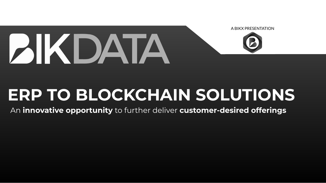



# **BIKDATA**

## **ERP TO BLOCKCHAIN SOLUTIONS** An **innovative opportunity** to further deliver **customer-desired offerings**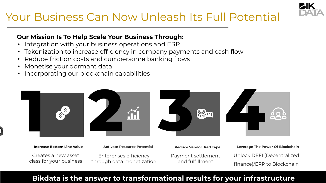Creates a new asset class for your business

**Increase Bottom Line Value**



Enterprises efficiency through data monetization

**Activate Resource Potential** 

Payment settlement and fulfillment

**Reduce Vendor Red Tape**

Unlock DEFI (Decentralized finance)/ERP to Blockchain **Leverage The Power Of Blockchain**



- Integration with your business operations and ERP
- Tokenization to increase efficiency in company payments and cash flow
- Reduce friction costs and cumbersome banking flows
- Monetise your dormant data
- Incorporating our blockchain capabilities

## Your Business Can Now Unleash Its Full Potential

#### **Our Mission Is To Help Scale Your Business Through:**

#### **Bikdata is the answer to transformational results for your infrastructure**





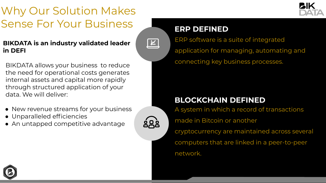## Why Our Solution Makes Sense For Your Business

BIKDATA allows your business to reduce the need for operational costs generates internal assets and capital more rapidly through structured application of your data. We will deliver:

- New revenue streams for your business
- Unparalleled efficiencies
- An untapped competitive advantage



 $\boxed{\kappa}$ 





ERP software is a suite of integrated application for managing, automating and connecting key business processes.

### **ERP DEFINED**

A system in which a record of transactions made in Bitcoin or another cryptocurrency are maintained across several computers that are linked in a peer-to-peer network.



### **BLOCKCHAIN DEFINED**

#### **BIKDATA is an industry validated leader in DEFI**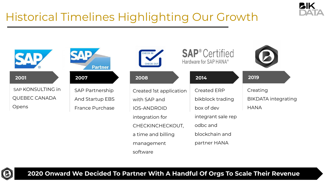## Historical Timelines Highlighting Our Growth



with SAP and

IOS-ANDROID

integration for

a time and billing

management

software





#### **SAP®** Certified Hardware for SAP HANA®



|  | 1st application |
|--|-----------------|

 SAP KONSULTING in QUEBEC CANADA Opens

> CHECKINCHECKOUT, odbc and



SAP Partnership And Startup EBS France Purchase



Created

Created ERP

bikblock trading

box of dev

integrant sale rep

blockchain and

partner HANA

#### **2014**

#### **2019**

**Creating** BIKDATA integrating **HANA** 

#### **2020 Onward We Decided To Partner With A Handful Of Orgs To Scale Their Revenue**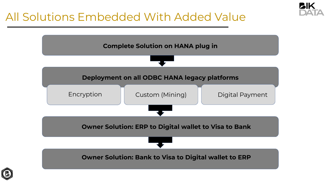## All Solutions Embedded With Added Value





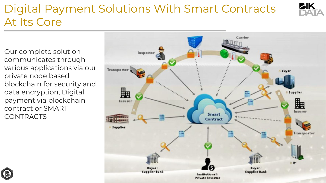## Digital Payment Solutions With Smart Contracts PIK At Its Core

Our complete solution communicates through various applications via our private node based blockchain for security and data encryption, Digital payment via blockchain contract or SMART CONTRACTS





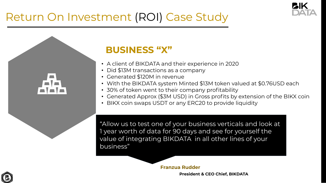7

- A client of BIKDATA and their experience in 2020
- Did \$13M transactions as a company
- Generated \$120M in revenue
- 
- With the BIKDATA system Minted \$13M token valued at \$0.76USD each • 30% of token went to their company profitability
- Generated Approx (\$3M USD) in Gross profits by extension of the BIKX coin
- BIKX coin swaps USDT or any ERC20 to provide liquidity

## **BUSINESS "X"**

## Return On Investment (ROI) Case Study



"Allow us to test one of your business verticals and look at 1 year worth of data for 90 days and see for yourself the value of integrating BIKDATA in all other lines of your business"







**President & CEO Chief, BIKDATA**



**Franzua Rudder**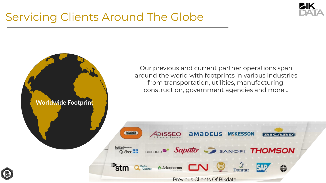## **Worldwide Footprint** BOUYGUES Québec **HH**  $\mathbf{r}_{\text{stm}}$ Hydro<br>Québec

## Servicing Clients Around The Globe





Our previous and current partner operations span around the world with footprints in various industries from transportation, utilities, manufacturing, construction, government agencies and more…



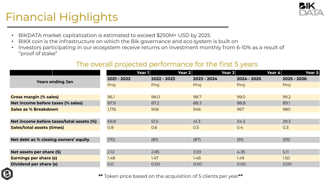## Financial Highlights

|                                          | <b>Year 1</b> | <b>Year 2</b> | <b>Year 3</b> | Year 4      | <b>Year 5</b> |
|------------------------------------------|---------------|---------------|---------------|-------------|---------------|
| <b>Years ending Jan</b>                  | 2021 - 2022   | 2022 - 2023   | 2023 - 2024   | 2024 - 2025 | 2025 - 2026   |
|                                          | Proj          | Proj          | Proj          | Proj        | Proj          |
|                                          |               |               |               |             |               |
| <b>Gross margin (% sales)</b>            | 96.1          | 98.0          | 98.7          | 99.0        | 99.2          |
| Net income before taxes (% sales)        | 87.9          | 87.2          | 88.3          | 88.8        | 89.1          |
| Sales as % Breakdown                     | 1,176         | 906           | 946           | 967         | 980           |
|                                          |               |               |               |             |               |
| Net income before taxes/total assets (%) | 69.8          | 51.5          | 41.3          | 34.3        | 29.3          |
| <b>Sales/total assets (times)</b>        | 0.8           | 0.6           | 0.5           | 0.4         | 0.3           |
|                                          |               |               |               |             |               |
| Net debt as % closing owners' equity     | (70)          | (81)          | (87)          | (91)        | (93)          |
|                                          |               |               |               |             |               |
| Net assets per share (S)                 | 2.12          | 2.85          | 3.59          | 4.35        | 5.11          |
| <b>Earnings per share (s)</b>            | 1.48          | 7.47          | 1.48          | 1.49        | 1.50          |
| <b>Dividend per share (s)</b>            | O.O           | 0.00          | 0.00          | 0.00        | 0.00          |



**\*\*** Token price based on the acquisition of 5 clients per year**\*\***











#### The overall projected performance for the first 5 years

- BIKDATA market capitalization is estimated to exceed \$250M+ USD by 2025
- BIKX coin is the infrastructure on which the Bik governance and eco system is built on
- Investors participating in our ecosystem receive returns on investment monthly from 6-10% as a result of "proof of stake"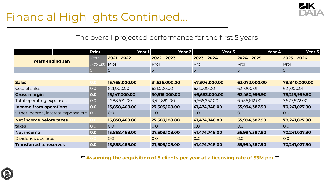## Financial Highlights Continued…

|                                    | <b>Prior</b>      | Year 1        | <b>Year 2</b> | <b>Year 3</b> | Year 4        | <b>Year 5</b> |
|------------------------------------|-------------------|---------------|---------------|---------------|---------------|---------------|
| <b>Years ending Jan</b>            | Year              | 2021 - 2022   | 2022 - 2023   | 2023 - 2024   | 2024 - 2025   | 2025 - 2026   |
|                                    | Act/Est           | Proj          | Proj          | Proj          | Proj          | Proj          |
|                                    | <b>D</b>          | 5             | 5             | 5             | 5             | 5             |
|                                    |                   |               |               |               |               |               |
| <b>Sales</b>                       |                   | 15,768,000.00 | 31,536,000.00 | 47,304,000.00 | 63,072,000.00 | 78,840,000.00 |
| Cost of sales                      | $\overline{)$ 0.0 | 621,000.00    | 621,000.00    | 621,000.00    | 621,000.01    | 621,000.01    |
| <b>Gross margin</b>                | $ $ 0.0           | 15,147,000.00 | 30,915,000.00 | 46,683,000.00 | 62,450,999.90 | 78,218,999.90 |
| Total operating expenses           | $\overline{)$ O.O | 1,288,532.00  | 3,411,892.00  | 4,935,252.00  | 6,456,612.00  | 7,977,972.00  |
| Income from operations             | 0.0               | 13,858,468.00 | 27,503,108.00 | 41,474,748.00 | 55,994,387.90 | 70,241,027.90 |
| Other income, interest expense etc | 0.0               | 0.0           | O.O           | 0.0           | 0.0           | 0.0           |
| <b>Net income before taxes</b>     |                   | 13,858,468.00 | 27,503,108.00 | 41,474,748.00 | 55,994,387.90 | 70,241,027.90 |
| taxes                              | $\overline{)0.0}$ | 0.0           | 0.0           | O.O           | 0.0           | O.O           |
| Net income                         | 0.0               | 13,858,468.00 | 27,503,108.00 | 41,474,748.00 | 55,994,387.90 | 70,241,027.90 |
| Dividends declared                 |                   | 0.0           | 0.0           | 0.0           | O.O           | 0.0           |
| <b>Transferred to reserves</b>     | 0.0               | 13,858,468.00 | 27,503,108.00 | 41,474,748.00 | 55,994,387.90 | 70,241,027.90 |







**\*\* Assuming the acquisition of 5 clients per year at a licensing rate of \$3M per \*\***

### The overall projected performance for the first 5 years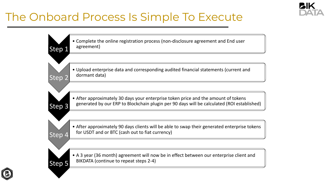## The Onboard Process Is Simple To Execute

• Complete the online registration process (non-disclosure agreement and End user

• Upload enterprise data and corresponding audited financial statements (current and

• After approximately 30 days your enterprise token price and the amount of tokens generated by our ERP to Blockchain plugin per 90 days will be calculated (ROI established)





• After approximately 90 days clients will be able to swap their generated enterprise tokens

• A 3 year (36 month) agreement will now be in effect between our enterprise client and

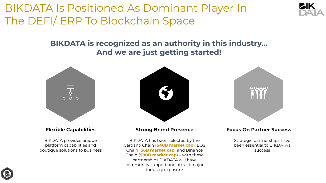BIKDATA provides unique platform capabilities and boutique solutions to business

#### **Flexible Capabilities**

BIKDATA has been selected by the Cardano Chain **(\$40B market cap**); EOS Chain (**\$6B market cap**) and Binance Chain **(\$80B market cap**) – with these partnerships BIKDATA will have community support and attract major industry exposure







#### **Strong Brand Presence**

Strategic partnerships have been essential to BIKDATA's success

#### **Focus On Partner Success**

## BIKDATA Is Positioned As Dominant Player In The DEFI/ ERP To Blockchain Space

### **BIKDATA is recognized as an authority in this industry… And we are just getting started!**